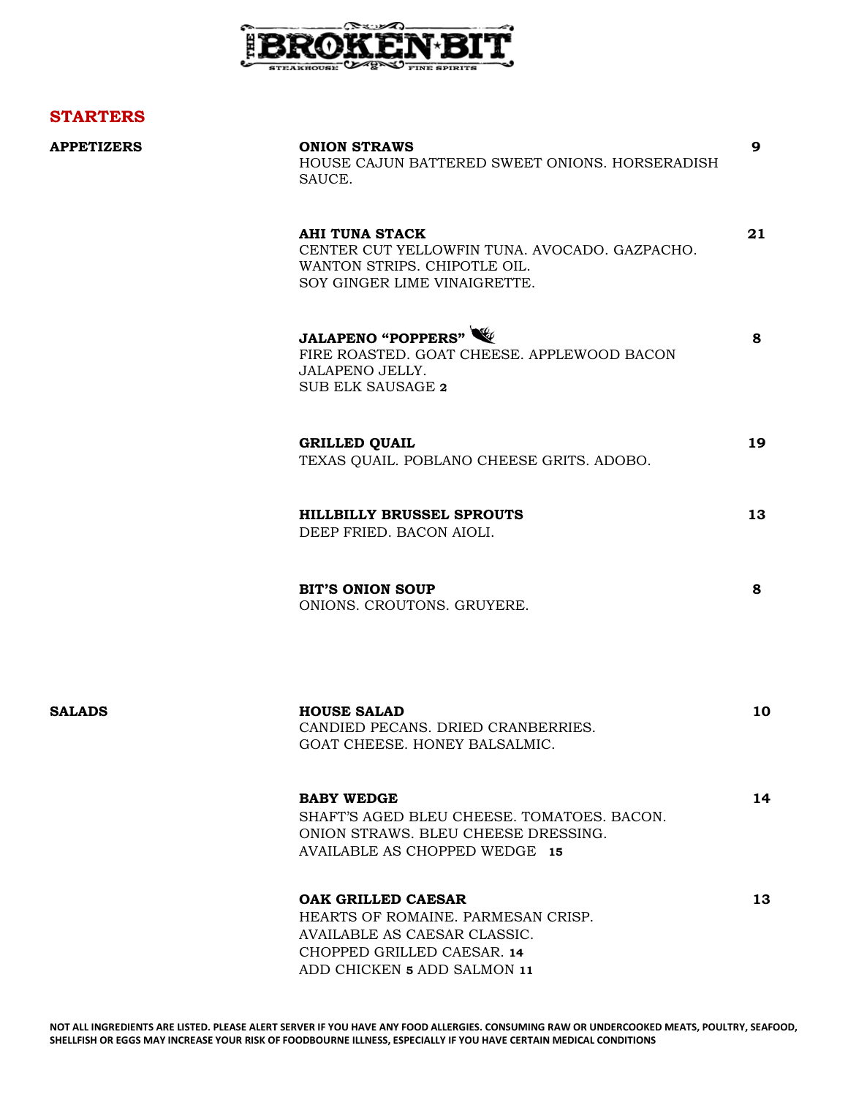

# **STARTERS**

| <b>APPETIZERS</b> | <b>ONION STRAWS</b><br>HOUSE CAJUN BATTERED SWEET ONIONS. HORSERADISH<br>SAUCE.                                                                       | 9  |
|-------------------|-------------------------------------------------------------------------------------------------------------------------------------------------------|----|
|                   | <b>AHI TUNA STACK</b><br>CENTER CUT YELLOWFIN TUNA. AVOCADO. GAZPACHO.<br>WANTON STRIPS. CHIPOTLE OIL.<br>SOY GINGER LIME VINAIGRETTE.                | 21 |
|                   | <b>JALAPENO "POPPERS"</b><br>FIRE ROASTED. GOAT CHEESE. APPLEWOOD BACON<br>JALAPENO JELLY.<br>SUB ELK SAUSAGE 2                                       | 8  |
|                   | <b>GRILLED QUAIL</b><br>TEXAS QUAIL. POBLANO CHEESE GRITS. ADOBO.                                                                                     | 19 |
|                   | <b>HILLBILLY BRUSSEL SPROUTS</b><br>DEEP FRIED. BACON AIOLI.                                                                                          | 13 |
|                   | <b>BIT'S ONION SOUP</b><br>ONIONS. CROUTONS. GRUYERE.                                                                                                 | 8  |
| <b>SALADS</b>     | <b>HOUSE SALAD</b><br>CANDIED PECANS. DRIED CRANBERRIES.<br>GOAT CHEESE. HONEY BALSALMIC.                                                             | 10 |
|                   | <b>BABY WEDGE</b><br>SHAFT'S AGED BLEU CHEESE. TOMATOES. BACON.<br>ONION STRAWS. BLEU CHEESE DRESSING.<br>AVAILABLE AS CHOPPED WEDGE 15               | 14 |
|                   | OAK GRILLED CAESAR<br>HEARTS OF ROMAINE. PARMESAN CRISP.<br>AVAILABLE AS CAESAR CLASSIC.<br>CHOPPED GRILLED CAESAR. 14<br>ADD CHICKEN 5 ADD SALMON 11 | 13 |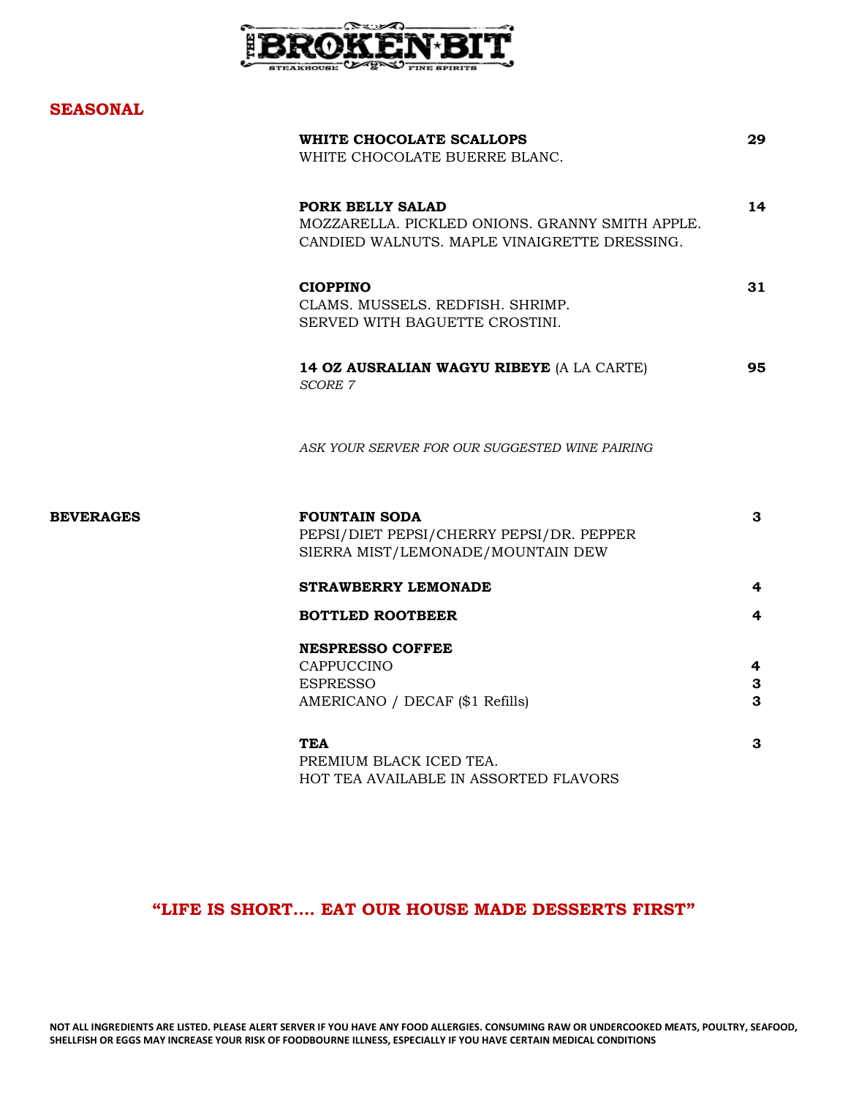

# **SEASONAL**

|                  | WHITE CHOCOLATE SCALLOPS<br>WHITE CHOCOLATE BUERRE BLANC.                                                           | 29                                |
|------------------|---------------------------------------------------------------------------------------------------------------------|-----------------------------------|
|                  | PORK BELLY SALAD<br>MOZZARELLA. PICKLED ONIONS. GRANNY SMITH APPLE.<br>CANDIED WALNUTS. MAPLE VINAIGRETTE DRESSING. | 14                                |
|                  | <b>CIOPPINO</b><br>CLAMS. MUSSELS. REDFISH. SHRIMP.<br>SERVED WITH BAGUETTE CROSTINI.                               | 31                                |
|                  | 14 OZ AUSRALIAN WAGYU RIBEYE (A LA CARTE)<br><b>SCORE 7</b>                                                         | 95                                |
|                  | ASK YOUR SERVER FOR OUR SUGGESTED WINE PAIRING                                                                      |                                   |
| <b>BEVERAGES</b> | <b>FOUNTAIN SODA</b><br>PEPSI/DIET PEPSI/CHERRY PEPSI/DR. PEPPER<br>SIERRA MIST/LEMONADE/MOUNTAIN DEW               | $\mathbf{3}$                      |
|                  | <b>STRAWBERRY LEMONADE</b>                                                                                          | 4                                 |
|                  | <b>BOTTLED ROOTBEER</b>                                                                                             | 4                                 |
|                  | <b>NESPRESSO COFFEE</b><br>CAPPUCCINO<br><b>ESPRESSO</b><br>AMERICANO / DECAF (\$1 Refills)                         | 4<br>3<br>$\overline{\mathbf{3}}$ |
|                  | <b>TEA</b><br>PREMIUM BLACK ICED TEA.<br>HOT TEA AVAILABLE IN ASSORTED FLAVORS                                      | 3                                 |

# **"LIFE IS SHORT…. EAT OUR HOUSE MADE DESSERTS FIRST"**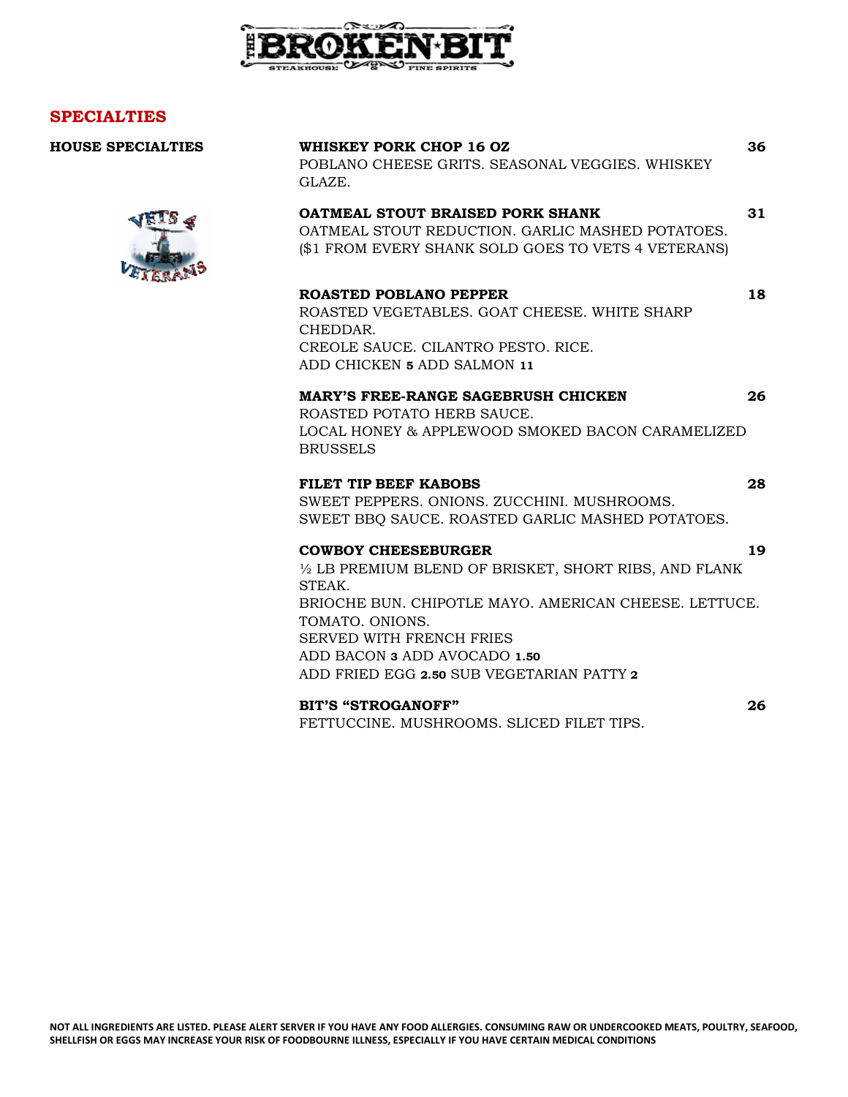

## **SPECIALTIES**

**HOUSE SPECIALTIES WHISKEY PORK CHOP 16 OZ 36**

POBLANO CHEESE GRITS. SEASONAL VEGGIES. WHISKEY GLAZE.

## **OATMEAL STOUT BRAISED PORK SHANK 31**

OATMEAL STOUT REDUCTION. GARLIC MASHED POTATOES. (\$1 FROM EVERY SHANK SOLD GOES TO VETS 4 VETERANS)

### **ROASTED POBLANO PEPPER 18**

ROASTED VEGETABLES. GOAT CHEESE. WHITE SHARP CHEDDAR. CREOLE SAUCE. CILANTRO PESTO. RICE. ADD CHICKEN **5** ADD SALMON **11**

### **MARY'S FREE-RANGE SAGEBRUSH CHICKEN 26**

ROASTED POTATO HERB SAUCE. LOCAL HONEY & APPLEWOOD SMOKED BACON CARAMELIZED BRUSSELS

### **FILET TIP BEEF KABOBS 28**

SWEET PEPPERS. ONIONS. ZUCCHINI. MUSHROOMS. SWEET BBQ SAUCE. ROASTED GARLIC MASHED POTATOES.

#### **COWBOY CHEESEBURGER 19**

½ LB PREMIUM BLEND OF BRISKET, SHORT RIBS, AND FLANK STEAK. BRIOCHE BUN. CHIPOTLE MAYO. AMERICAN CHEESE. LETTUCE. TOMATO. ONIONS. SERVED WITH FRENCH FRIES ADD BACON **3** ADD AVOCADO **1.50** ADD FRIED EGG **2.50** SUB VEGETARIAN PATTY **2**

## **BIT'S "STROGANOFF" 26**

FETTUCCINE. MUSHROOMS. SLICED FILET TIPS.